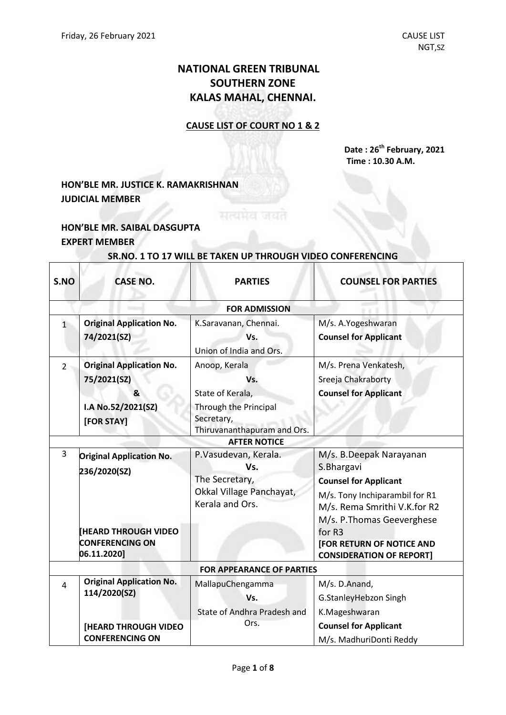# **NATIONAL GREEN TRIBUNAL SOUTHERN ZONE KALAS MAHAL, CHENNAI.**

#### **CAUSE LIST OF COURT NO 1 & 2**

**Date : 26th February, 2021 Time : 10.30 A.M.**

# **HON'BLE MR. JUSTICE K. RAMAKRISHNAN JUDICIAL MEMBER**

### **HON'BLE MR. SAIBAL DASGUPTA EXPERT MEMBER**

 $\overline{\Gamma}$ 

Т

# **SR.NO. 1 TO 17 WILL BE TAKEN UP THROUGH VIDEO CONFERENCING**

| S.NO           | <b>CASE NO.</b>                                                                         | <b>PARTIES</b>                                                                                                 | <b>COUNSEL FOR PARTIES</b>                                                                                                                                            |  |  |  |
|----------------|-----------------------------------------------------------------------------------------|----------------------------------------------------------------------------------------------------------------|-----------------------------------------------------------------------------------------------------------------------------------------------------------------------|--|--|--|
|                | <b>FOR ADMISSION</b>                                                                    |                                                                                                                |                                                                                                                                                                       |  |  |  |
| $\overline{1}$ | <b>Original Application No.</b><br>74/2021(SZ)                                          | K.Saravanan, Chennai.<br>Vs.<br>Union of India and Ors.                                                        | M/s. A.Yogeshwaran<br><b>Counsel for Applicant</b>                                                                                                                    |  |  |  |
| $\overline{2}$ | <b>Original Application No.</b><br>75/2021(SZ)<br>&<br>I.A No.52/2021(SZ)<br>[FOR STAY] | Anoop, Kerala<br>Vs.<br>State of Kerala,<br>Through the Principal<br>Secretary,<br>Thiruvananthapuram and Ors. | M/s. Prena Venkatesh,<br>Sreeja Chakraborty<br><b>Counsel for Applicant</b>                                                                                           |  |  |  |
|                |                                                                                         | <b>AFTER NOTICE</b>                                                                                            |                                                                                                                                                                       |  |  |  |
| 3              | <b>Original Application No.</b><br>236/2020(SZ)                                         | P.Vasudevan, Kerala.<br>Vs.<br>The Secretary,<br>Okkal Village Panchayat,<br>Kerala and Ors.                   | M/s. B.Deepak Narayanan<br>S.Bhargavi<br><b>Counsel for Applicant</b><br>M/s. Tony Inchiparambil for R1<br>M/s. Rema Smrithi V.K.for R2<br>M/s. P. Thomas Geeverghese |  |  |  |
|                | <b>IHEARD THROUGH VIDEO</b><br><b>CONFERENCING ON</b><br>06.11.2020]                    |                                                                                                                | for R3<br><b>[FOR RETURN OF NOTICE AND</b><br><b>CONSIDERATION OF REPORT]</b>                                                                                         |  |  |  |
|                | <b>FOR APPEARANCE OF PARTIES</b>                                                        |                                                                                                                |                                                                                                                                                                       |  |  |  |
| 4              | <b>Original Application No.</b><br>114/2020(SZ)                                         | MallapuChengamma<br>Vs.<br>State of Andhra Pradesh and                                                         | M/s. D.Anand,<br>G.StanleyHebzon Singh<br>K.Mageshwaran                                                                                                               |  |  |  |
|                | <b>[HEARD THROUGH VIDEO</b><br><b>CONFERENCING ON</b>                                   | Ors.                                                                                                           | <b>Counsel for Applicant</b><br>M/s. MadhuriDonti Reddy                                                                                                               |  |  |  |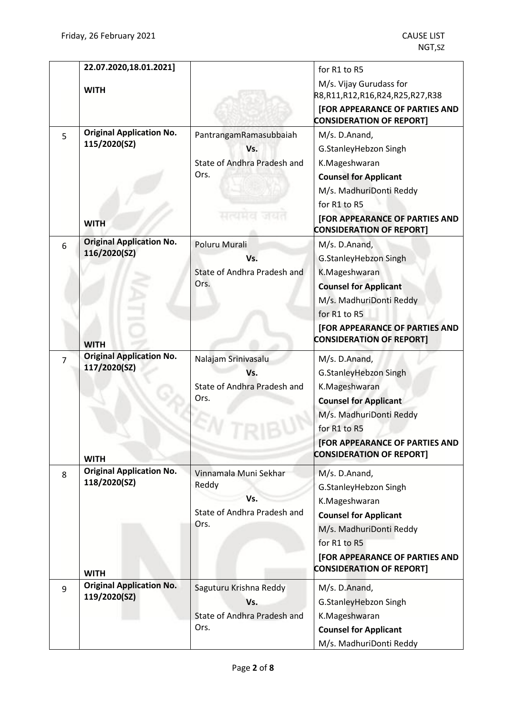|   | 22.07.2020,18.01.2021]          |                             | for R1 to R5                                                             |
|---|---------------------------------|-----------------------------|--------------------------------------------------------------------------|
|   | <b>WITH</b>                     |                             | M/s. Vijay Gurudass for                                                  |
|   |                                 |                             | R8,R11,R12,R16,R24,R25,R27,R38                                           |
|   |                                 |                             | [FOR APPEARANCE OF PARTIES AND<br><b>CONSIDERATION OF REPORT]</b>        |
| 5 | <b>Original Application No.</b> | PantrangamRamasubbaiah      | M/s. D.Anand,                                                            |
|   | 115/2020(SZ)                    | Vs.                         | G.StanleyHebzon Singh                                                    |
|   |                                 | State of Andhra Pradesh and | K.Mageshwaran                                                            |
|   |                                 | Ors.                        | <b>Counsel for Applicant</b>                                             |
|   |                                 |                             | M/s. MadhuriDonti Reddy                                                  |
|   |                                 |                             | for R1 to R5                                                             |
|   | <b>WITH</b>                     | सत्यमेव जयत                 | [FOR APPEARANCE OF PARTIES AND<br><b>CONSIDERATION OF REPORT]</b>        |
| 6 | <b>Original Application No.</b> | Poluru Murali               | M/s. D.Anand,                                                            |
|   | 116/2020(SZ)                    | Vs.                         | G.StanleyHebzon Singh                                                    |
|   |                                 | State of Andhra Pradesh and | K.Mageshwaran                                                            |
|   |                                 | Ors.                        | <b>Counsel for Applicant</b>                                             |
|   |                                 |                             | M/s. MadhuriDonti Reddy                                                  |
|   |                                 |                             | for R1 to R5                                                             |
|   |                                 |                             | [FOR APPEARANCE OF PARTIES AND                                           |
|   | <b>WITH</b>                     |                             | <b>CONSIDERATION OF REPORT]</b>                                          |
| 7 | <b>Original Application No.</b> | Nalajam Srinivasalu         | M/s. D.Anand,                                                            |
|   | 117/2020(SZ)                    | Vs.                         | G.StanleyHebzon Singh                                                    |
|   |                                 | State of Andhra Pradesh and | K.Mageshwaran                                                            |
|   |                                 | Ors.                        | <b>Counsel for Applicant</b>                                             |
|   |                                 |                             | M/s. MadhuriDonti Reddy                                                  |
|   |                                 |                             | for R1 to R5                                                             |
|   | <b>WITH</b>                     |                             | <b>[FOR APPEARANCE OF PARTIES AND</b><br><b>CONSIDERATION OF REPORT]</b> |
| 8 | <b>Original Application No.</b> | Vinnamala Muni Sekhar       | M/s. D.Anand,                                                            |
|   | 118/2020(SZ)                    | Reddy                       | G.StanleyHebzon Singh                                                    |
|   |                                 | Vs.                         | K.Mageshwaran                                                            |
|   |                                 | State of Andhra Pradesh and | <b>Counsel for Applicant</b>                                             |
|   |                                 | Ors.                        | M/s. MadhuriDonti Reddy                                                  |
|   |                                 |                             | for R1 to R5                                                             |
|   |                                 |                             | [FOR APPEARANCE OF PARTIES AND                                           |
|   | <b>WITH</b>                     |                             | <b>CONSIDERATION OF REPORT]</b>                                          |
| 9 | <b>Original Application No.</b> | Saguturu Krishna Reddy      | M/s. D.Anand,                                                            |
|   | 119/2020(SZ)                    | Vs.                         | G.StanleyHebzon Singh                                                    |
|   |                                 | State of Andhra Pradesh and | K.Mageshwaran                                                            |
|   |                                 | Ors.                        | <b>Counsel for Applicant</b>                                             |
|   |                                 |                             | M/s. MadhuriDonti Reddy                                                  |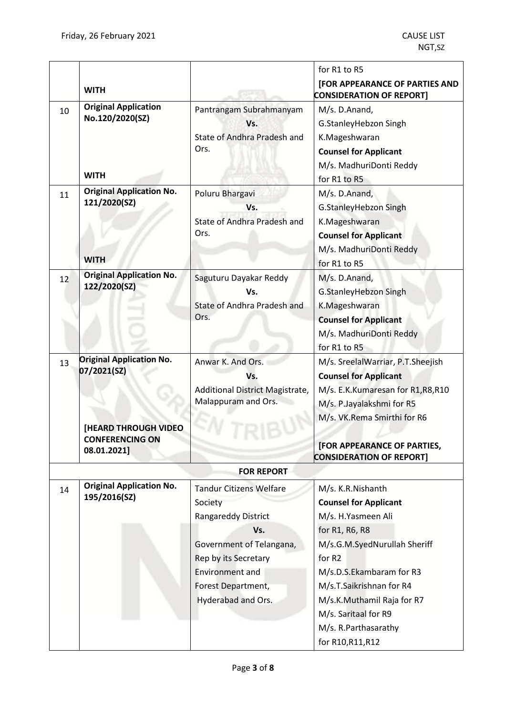|    |                                                 |                                                        | for R1 to R5                                                      |
|----|-------------------------------------------------|--------------------------------------------------------|-------------------------------------------------------------------|
|    | <b>WITH</b>                                     |                                                        | [FOR APPEARANCE OF PARTIES AND<br><b>CONSIDERATION OF REPORT]</b> |
| 10 | <b>Original Application</b>                     | Pantrangam Subrahmanyam                                | M/s. D.Anand,                                                     |
|    | No.120/2020(SZ)                                 | Vs.                                                    | G.StanleyHebzon Singh                                             |
|    |                                                 | State of Andhra Pradesh and                            | K.Mageshwaran                                                     |
|    |                                                 | Ors.                                                   | <b>Counsel for Applicant</b>                                      |
|    |                                                 |                                                        | M/s. MadhuriDonti Reddy                                           |
|    | <b>WITH</b>                                     |                                                        | for R1 to R5                                                      |
| 11 | <b>Original Application No.</b><br>121/2020(SZ) | Poluru Bhargavi                                        | M/s. D.Anand,                                                     |
|    |                                                 | Vs.                                                    | G.StanleyHebzon Singh                                             |
|    |                                                 | State of Andhra Pradesh and                            | K.Mageshwaran                                                     |
|    |                                                 | Ors.                                                   | <b>Counsel for Applicant</b>                                      |
|    | <b>WITH</b>                                     |                                                        | M/s. MadhuriDonti Reddy                                           |
|    |                                                 |                                                        | for R1 to R5                                                      |
| 12 | <b>Original Application No.</b><br>122/2020(SZ) | Saguturu Dayakar Reddy                                 | M/s. D.Anand,                                                     |
|    |                                                 | Vs.                                                    | G.StanleyHebzon Singh                                             |
|    |                                                 | State of Andhra Pradesh and                            | K.Mageshwaran                                                     |
|    |                                                 | Ors.                                                   | <b>Counsel for Applicant</b>                                      |
|    |                                                 |                                                        | M/s. MadhuriDonti Reddy                                           |
|    |                                                 |                                                        | for R1 to R5                                                      |
| 13 | <b>Original Application No.</b><br>07/2021(SZ)  | Anwar K. And Ors.                                      | M/s. SreelalWarriar, P.T.Sheejish                                 |
|    |                                                 | Vs.                                                    | <b>Counsel for Applicant</b>                                      |
|    |                                                 | Additional District Magistrate,<br>Malappuram and Ors. | M/s. E.K.Kumaresan for R1,R8,R10                                  |
|    |                                                 |                                                        | M/s. P.Jayalakshmi for R5                                         |
|    | <b>[HEARD THROUGH VIDEO</b>                     |                                                        | M/s. VK.Rema Smirthi for R6                                       |
|    |                                                 |                                                        |                                                                   |
|    | <b>CONFERENCING ON</b>                          |                                                        |                                                                   |
|    | 08.01.2021]                                     |                                                        | [FOR APPEARANCE OF PARTIES,                                       |
|    |                                                 |                                                        | <b>CONSIDERATION OF REPORT]</b>                                   |
|    |                                                 | <b>FOR REPORT</b>                                      |                                                                   |
| 14 | <b>Original Application No.</b><br>195/2016(SZ) | <b>Tandur Citizens Welfare</b>                         | M/s. K.R.Nishanth                                                 |
|    |                                                 | Society                                                | <b>Counsel for Applicant</b>                                      |
|    |                                                 | Rangareddy District                                    | M/s. H.Yasmeen Ali                                                |
|    |                                                 | Vs.                                                    | for R1, R6, R8                                                    |
|    |                                                 | Government of Telangana,                               | M/s.G.M.SyedNurullah Sheriff                                      |
|    |                                                 | Rep by its Secretary                                   | for R <sub>2</sub>                                                |
|    |                                                 | <b>Environment and</b>                                 | M/s.D.S.Ekambaram for R3                                          |
|    |                                                 | Forest Department,                                     | M/s.T.Saikrishnan for R4                                          |
|    |                                                 | Hyderabad and Ors.                                     | M/s.K.Muthamil Raja for R7                                        |
|    |                                                 |                                                        | M/s. Saritaal for R9                                              |
|    |                                                 |                                                        | M/s. R.Parthasarathy                                              |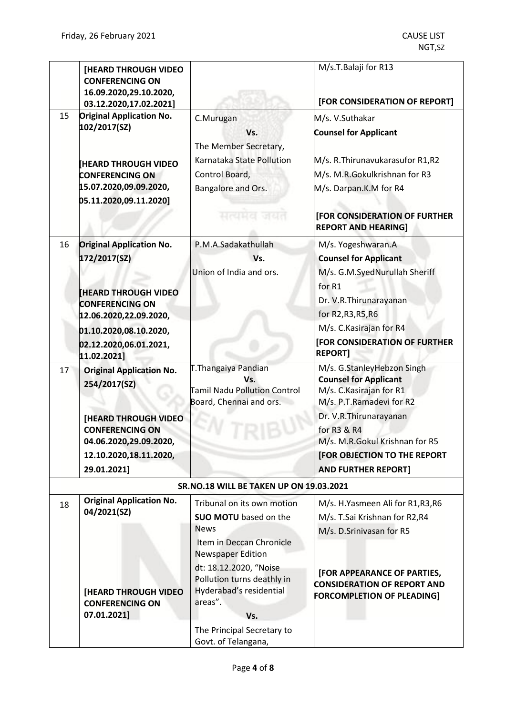|    | [HEARD THROUGH VIDEO<br><b>CONFERENCING ON</b><br>16.09.2020,29.10.2020,<br>03.12.2020,17.02.2021] |                                                      | M/s.T.Balaji for R13<br>[FOR CONSIDERATION OF REPORT]             |
|----|----------------------------------------------------------------------------------------------------|------------------------------------------------------|-------------------------------------------------------------------|
| 15 | <b>Original Application No.</b>                                                                    | C.Murugan                                            | M/s. V.Suthakar                                                   |
|    | 102/2017(SZ)                                                                                       | Vs.                                                  | <b>Counsel for Applicant</b>                                      |
|    |                                                                                                    | The Member Secretary,                                |                                                                   |
|    |                                                                                                    | Karnataka State Pollution                            | M/s. R.Thirunavukarasufor R1,R2                                   |
|    | <b>HEARD THROUGH VIDEO</b><br><b>CONFERENCING ON</b>                                               | Control Board,                                       | M/s. M.R.Gokulkrishnan for R3                                     |
|    | 15.07.2020,09.09.2020,                                                                             | Bangalore and Ors.                                   | M/s. Darpan.K.M for R4                                            |
|    | 05.11.2020,09.11.2020]                                                                             |                                                      |                                                                   |
|    |                                                                                                    | सत्यमय जयत                                           | [FOR CONSIDERATION OF FURTHER                                     |
|    |                                                                                                    |                                                      | <b>REPORT AND HEARING]</b>                                        |
| 16 | <b>Original Application No.</b>                                                                    | P.M.A.Sadakathullah                                  | M/s. Yogeshwaran.A                                                |
|    | 172/2017(SZ)                                                                                       | Vs.                                                  | <b>Counsel for Applicant</b>                                      |
|    |                                                                                                    | Union of India and ors.                              | M/s. G.M.SyedNurullah Sheriff                                     |
|    |                                                                                                    |                                                      | for R1                                                            |
|    | <b>HEARD THROUGH VIDEO</b><br><b>CONFERENCING ON</b>                                               |                                                      | Dr. V.R. Thirunarayanan                                           |
|    | 12.06.2020,22.09.2020,                                                                             |                                                      | for R2, R3, R5, R6                                                |
|    | 01.10.2020,08.10.2020,                                                                             |                                                      | M/s. C. Kasirajan for R4                                          |
|    | 02.12.2020,06.01.2021,                                                                             |                                                      | [FOR CONSIDERATION OF FURTHER                                     |
|    | 11.02.2021]                                                                                        |                                                      | <b>REPORT]</b>                                                    |
| 17 | <b>Original Application No.</b>                                                                    | T. Thangaiya Pandian                                 | M/s. G.StanleyHebzon Singh                                        |
|    | 254/2017(SZ)                                                                                       | Vs.<br><b>Tamil Nadu Pollution Control</b>           | <b>Counsel for Applicant</b><br>M/s. C. Kasirajan for R1          |
|    |                                                                                                    | Board, Chennai and ors.                              | M/s. P.T.Ramadevi for R2                                          |
|    | <b>[HEARD THROUGH VIDEO</b>                                                                        |                                                      | Dr. V.R. Thirunarayanan                                           |
|    | <b>CONFERENCING ON</b>                                                                             |                                                      | for R3 & R4                                                       |
|    | 04.06.2020,29.09.2020,                                                                             |                                                      | M/s. M.R.Gokul Krishnan for R5                                    |
|    | 12.10.2020,18.11.2020,                                                                             |                                                      | [FOR OBJECTION TO THE REPORT                                      |
|    | 29.01.2021]                                                                                        |                                                      | <b>AND FURTHER REPORT]</b>                                        |
|    |                                                                                                    | SR.NO.18 WILL BE TAKEN UP ON 19.03.2021              |                                                                   |
| 18 | <b>Original Application No.</b>                                                                    | Tribunal on its own motion                           | M/s. H.Yasmeen Ali for R1,R3,R6                                   |
|    | 04/2021(SZ)                                                                                        | <b>SUO MOTU</b> based on the                         | M/s. T.Sai Krishnan for R2,R4                                     |
|    |                                                                                                    | <b>News</b>                                          | M/s. D.Srinivasan for R5                                          |
|    |                                                                                                    | Item in Deccan Chronicle<br><b>Newspaper Edition</b> |                                                                   |
|    |                                                                                                    | dt: 18.12.2020, "Noise                               |                                                                   |
|    |                                                                                                    | Pollution turns deathly in                           | [FOR APPEARANCE OF PARTIES,<br><b>CONSIDERATION OF REPORT AND</b> |
|    | <b>[HEARD THROUGH VIDEO</b>                                                                        | Hyderabad's residential                              | <b>FORCOMPLETION OF PLEADING]</b>                                 |
|    | <b>CONFERENCING ON</b>                                                                             | areas".                                              |                                                                   |
|    | 07.01.2021]                                                                                        | Vs.                                                  |                                                                   |
|    |                                                                                                    | The Principal Secretary to<br>Govt. of Telangana,    |                                                                   |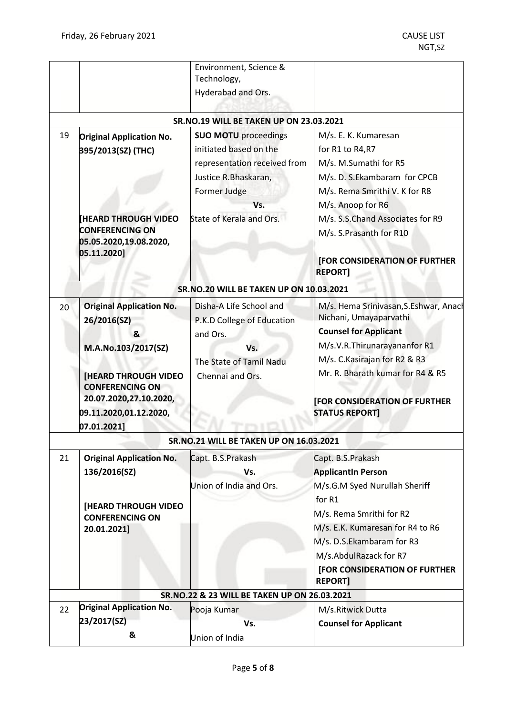|    |                                                                                                                                                                                                        | Environment, Science &<br>Technology,                                                                                                                            |                                                                                                                                                                                                                                                                           |
|----|--------------------------------------------------------------------------------------------------------------------------------------------------------------------------------------------------------|------------------------------------------------------------------------------------------------------------------------------------------------------------------|---------------------------------------------------------------------------------------------------------------------------------------------------------------------------------------------------------------------------------------------------------------------------|
|    |                                                                                                                                                                                                        | Hyderabad and Ors.                                                                                                                                               |                                                                                                                                                                                                                                                                           |
|    |                                                                                                                                                                                                        | <b>SR.NO.19 WILL BE TAKEN UP ON 23.03.2021</b>                                                                                                                   |                                                                                                                                                                                                                                                                           |
| 19 | <b>Original Application No.</b><br>395/2013(SZ) (THC)<br><b>HEARD THROUGH VIDEO</b><br><b>CONFERENCING ON</b><br>05.05.2020,19.08.2020,<br>05.11.2020]                                                 | <b>SUO MOTU</b> proceedings<br>initiated based on the<br>representation received from<br>Justice R.Bhaskaran,<br>Former Judge<br>Vs.<br>State of Kerala and Ors. | M/s. E. K. Kumaresan<br>for R1 to R4, R7<br>M/s. M.Sumathi for R5<br>M/s. D. S.Ekambaram for CPCB<br>M/s. Rema Smrithi V. K for R8<br>M/s. Anoop for R6<br>M/s. S.S.Chand Associates for R9<br>M/s. S.Prasanth for R10<br>[FOR CONSIDERATION OF FURTHER<br><b>REPORT]</b> |
|    |                                                                                                                                                                                                        | SR.NO.20 WILL BE TAKEN UP ON 10.03.2021                                                                                                                          |                                                                                                                                                                                                                                                                           |
| 20 | <b>Original Application No.</b><br>26/2016(SZ)<br>&<br>M.A.No.103/2017(SZ)<br><b>[HEARD THROUGH VIDEO</b><br><b>CONFERENCING ON</b><br>20.07.2020,27.10.2020,<br>09.11.2020,01.12.2020,<br>07.01.2021] | Disha-A Life School and<br>P.K.D College of Education<br>and Ors.<br>Vs.<br>The State of Tamil Nadu<br>Chennai and Ors.                                          | M/s. Hema Srinivasan, S. Eshwar, Anach<br>Nichani, Umayaparvathi<br><b>Counsel for Applicant</b><br>M/s.V.R.Thirunarayananfor R1<br>M/s. C. Kasirajan for R2 & R3<br>Mr. R. Bharath kumar for R4 & R5<br><b>FOR CONSIDERATION OF FURTHER</b><br><b>STATUS REPORT]</b>     |
|    |                                                                                                                                                                                                        | <b>SR.NO.21 WILL BE TAKEN UP ON 16.03.2021</b>                                                                                                                   |                                                                                                                                                                                                                                                                           |
| 21 | <b>Original Application No.</b><br>136/2016(SZ)                                                                                                                                                        | Capt. B.S.Prakash<br>Vs.<br>Union of India and Ors.                                                                                                              | Capt. B.S.Prakash<br><b>ApplicantIn Person</b><br>M/s.G.M Syed Nurullah Sheriff                                                                                                                                                                                           |
|    | <b>[HEARD THROUGH VIDEO</b><br><b>CONFERENCING ON</b><br>20.01.2021]                                                                                                                                   |                                                                                                                                                                  | for R1<br>M/s. Rema Smrithi for R2<br>M/s. E.K. Kumaresan for R4 to R6<br>M/s. D.S.Ekambaram for R3<br>M/s.AbdulRazack for R7<br><b>[FOR CONSIDERATION OF FURTHER</b><br><b>REPORT]</b>                                                                                   |
|    |                                                                                                                                                                                                        | SR.NO.22 & 23 WILL BE TAKEN UP ON 26.03.2021                                                                                                                     |                                                                                                                                                                                                                                                                           |
| 22 | <b>Original Application No.</b><br>23/2017(SZ)<br>&                                                                                                                                                    | Pooja Kumar<br>Vs.<br>Union of India                                                                                                                             | M/s.Ritwick Dutta<br><b>Counsel for Applicant</b>                                                                                                                                                                                                                         |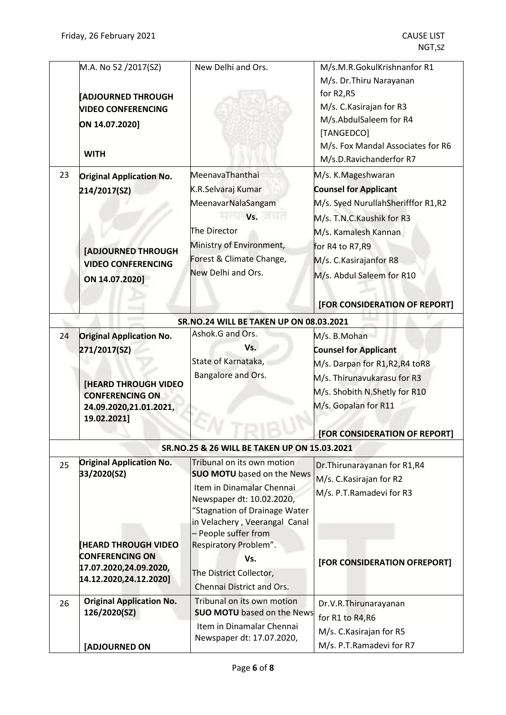|    | M.A. No 52 /2017(SZ)<br><b>ADJOURNED THROUGH</b><br><b>VIDEO CONFERENCING</b> | New Delhi and Ors.                                         | M/s.M.R.GokulKrishnanfor R1<br>M/s. Dr. Thiru Narayanan<br>for R2,R5<br>M/s. C. Kasirajan for R3 |
|----|-------------------------------------------------------------------------------|------------------------------------------------------------|--------------------------------------------------------------------------------------------------|
|    | ON 14.07.2020]                                                                |                                                            | M/s.AbdulSaleem for R4                                                                           |
|    |                                                                               |                                                            | [TANGEDCO]                                                                                       |
|    | <b>WITH</b>                                                                   |                                                            | M/s. Fox Mandal Associates for R6<br>M/s.D.Ravichanderfor R7                                     |
| 23 | <b>Original Application No.</b>                                               | MeenavaThanthai                                            | M/s. K.Mageshwaran                                                                               |
|    | 214/2017(SZ)                                                                  | K.R.Selvaraj Kumar                                         | <b>Counsel for Applicant</b>                                                                     |
|    |                                                                               | MeenavarNalaSangam                                         | M/s. Syed NurullahSherifffor R1,R2                                                               |
|    |                                                                               | Vs.                                                        | M/s. T.N.C. Kaushik for R3                                                                       |
|    |                                                                               | The Director                                               | M/s. Kamalesh Kannan                                                                             |
|    | [ADJOURNED THROUGH                                                            | Ministry of Environment,                                   | for R4 to R7, R9                                                                                 |
|    | <b>VIDEO CONFERENCING</b>                                                     | Forest & Climate Change,                                   | M/s. C.Kasirajanfor R8                                                                           |
|    | ON 14.07.2020]                                                                | New Delhi and Ors.                                         | M/s. Abdul Saleem for R10                                                                        |
|    |                                                                               |                                                            | [FOR CONSIDERATION OF REPORT]                                                                    |
|    |                                                                               | <b>SR.NO.24 WILL BE TAKEN UP ON 08.03.2021</b>             |                                                                                                  |
| 24 | <b>Original Application No.</b>                                               | Ashok.G and Ors.                                           | M/s. B.Mohan                                                                                     |
|    | 271/2017(SZ)                                                                  | Vs.                                                        | <b>Counsel for Applicant</b>                                                                     |
|    |                                                                               | State of Karnataka,                                        | M/s. Darpan for R1, R2, R4 to R8                                                                 |
|    | <b>[HEARD THROUGH VIDEO</b>                                                   | Bangalore and Ors.                                         | M/s. Thirunavukarasu for R3                                                                      |
|    | <b>CONFERENCING ON</b>                                                        |                                                            | M/s. Shobith N.Shetly for R10                                                                    |
|    | 24.09.2020,21.01.2021,<br>19.02.2021]                                         |                                                            | M/s. Gopalan for R11                                                                             |
|    |                                                                               |                                                            | [FOR CONSIDERATION OF REPORT]                                                                    |
|    |                                                                               | SR.NO.25 & 26 WILL BE TAKEN UP ON 15.03.2021               |                                                                                                  |
| 25 | <b>Original Application No.</b>                                               | Tribunal on its own motion                                 | Dr. Thirunarayanan for R1, R4                                                                    |
|    | 33/2020(SZ)                                                                   | <b>SUO MOTU</b> based on the News                          | M/s. C. Kasirajan for R2                                                                         |
|    |                                                                               | Item in Dinamalar Chennai                                  | M/s. P.T.Ramadevi for R3                                                                         |
|    |                                                                               | Newspaper dt: 10.02.2020,<br>"Stagnation of Drainage Water |                                                                                                  |
|    |                                                                               | in Velachery, Veerangal Canal                              |                                                                                                  |
|    |                                                                               | - People suffer from                                       |                                                                                                  |
|    | <b>[HEARD THROUGH VIDEO</b>                                                   | Respiratory Problem".                                      |                                                                                                  |
|    | <b>CONFERENCING ON</b>                                                        | Vs.                                                        | [FOR CONSIDERATION OFREPORT]                                                                     |
|    | 17.07.2020,24.09.2020,<br>14.12.2020,24.12.2020]                              | The District Collector,                                    |                                                                                                  |
|    |                                                                               | Chennai District and Ors.                                  |                                                                                                  |
| 26 | <b>Original Application No.</b>                                               | Tribunal on its own motion                                 | Dr.V.R.Thirunarayanan                                                                            |
|    | 126/2020(SZ)                                                                  | <b>SUO MOTU</b> based on the News                          | for R1 to R4, R6                                                                                 |
|    |                                                                               | Item in Dinamalar Chennai                                  | M/s. C. Kasirajan for R5                                                                         |
|    | <b>[ADJOURNED ON</b>                                                          | Newspaper dt: 17.07.2020,                                  | M/s. P.T.Ramadevi for R7                                                                         |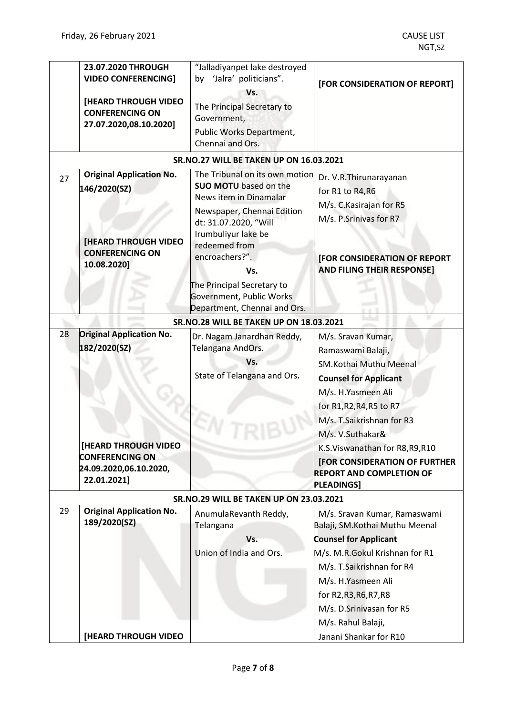|    | 23.07.2020 THROUGH<br><b>VIDEO CONFERENCING]</b><br>[HEARD THROUGH VIDEO<br><b>CONFERENCING ON</b><br>27.07.2020,08.10.2020] | "Jalladiyanpet lake destroyed<br>by 'Jalra' politicians".<br>Vs.<br>The Principal Secretary to<br>Government,<br>Public Works Department,<br>Chennai and Ors.                                                                                                                                              | [FOR CONSIDERATION OF REPORT]                                                                                                                                                                                                                                   |
|----|------------------------------------------------------------------------------------------------------------------------------|------------------------------------------------------------------------------------------------------------------------------------------------------------------------------------------------------------------------------------------------------------------------------------------------------------|-----------------------------------------------------------------------------------------------------------------------------------------------------------------------------------------------------------------------------------------------------------------|
|    |                                                                                                                              | <b>SR.NO.27 WILL BE TAKEN UP ON 16.03.2021</b>                                                                                                                                                                                                                                                             |                                                                                                                                                                                                                                                                 |
| 27 | <b>Original Application No.</b><br>146/2020(SZ)<br>[HEARD THROUGH VIDEO<br><b>CONFERENCING ON</b><br>10.08.2020]             | The Tribunal on its own motion<br><b>SUO MOTU</b> based on the<br>News item in Dinamalar<br>Newspaper, Chennai Edition<br>dt: 31.07.2020, "Will<br>Irumbuliyur lake be<br>redeemed from<br>encroachers?".<br>Vs.<br>The Principal Secretary to<br>Government, Public Works<br>Department, Chennai and Ors. | Dr. V.R.Thirunarayanan<br>for R1 to R4, R6<br>M/s. C. Kasirajan for R5<br>M/s. P.Srinivas for R7<br>[FOR CONSIDERATION OF REPORT<br><b>AND FILING THEIR RESPONSE]</b>                                                                                           |
|    |                                                                                                                              | <b>SR.NO.28 WILL BE TAKEN UP ON 18.03.2021</b>                                                                                                                                                                                                                                                             |                                                                                                                                                                                                                                                                 |
| 28 | <b>Original Application No.</b><br>182/2020(SZ)                                                                              | Dr. Nagam Janardhan Reddy,<br>Telangana AndOrs.<br>Vs.<br>State of Telangana and Ors.                                                                                                                                                                                                                      | M/s. Sravan Kumar,<br>Ramaswami Balaji,<br>SM.Kothai Muthu Meenal<br><b>Counsel for Applicant</b><br>M/s. H.Yasmeen Ali<br>for R1, R2, R4, R5 to R7<br>M/s. T.Saikrishnan for R3<br>M/s. V.Suthakar&                                                            |
|    | [HEARD THROUGH VIDEO<br><b>CONFERENCING ON</b><br>24.09.2020,06.10.2020,<br>22.01.2021]                                      |                                                                                                                                                                                                                                                                                                            | K.S.Viswanathan for R8, R9, R10<br>[FOR CONSIDERATION OF FURTHER<br><b>REPORT AND COMPLETION OF</b><br><b>PLEADINGS]</b>                                                                                                                                        |
|    |                                                                                                                              | <b>SR.NO.29 WILL BE TAKEN UP ON 23.03.2021</b>                                                                                                                                                                                                                                                             |                                                                                                                                                                                                                                                                 |
| 29 | <b>Original Application No.</b><br>189/2020(SZ)                                                                              | AnumulaRevanth Reddy,<br>Telangana<br>Vs.<br>Union of India and Ors.                                                                                                                                                                                                                                       | M/s. Sravan Kumar, Ramaswami<br>Balaji, SM.Kothai Muthu Meenal<br><b>Counsel for Applicant</b><br>M/s. M.R.Gokul Krishnan for R1<br>M/s. T.Saikrishnan for R4<br>M/s. H.Yasmeen Ali<br>for R2, R3, R6, R7, R8<br>M/s. D.Srinivasan for R5<br>M/s. Rahul Balaji, |
|    | [HEARD THROUGH VIDEO                                                                                                         |                                                                                                                                                                                                                                                                                                            | Janani Shankar for R10                                                                                                                                                                                                                                          |